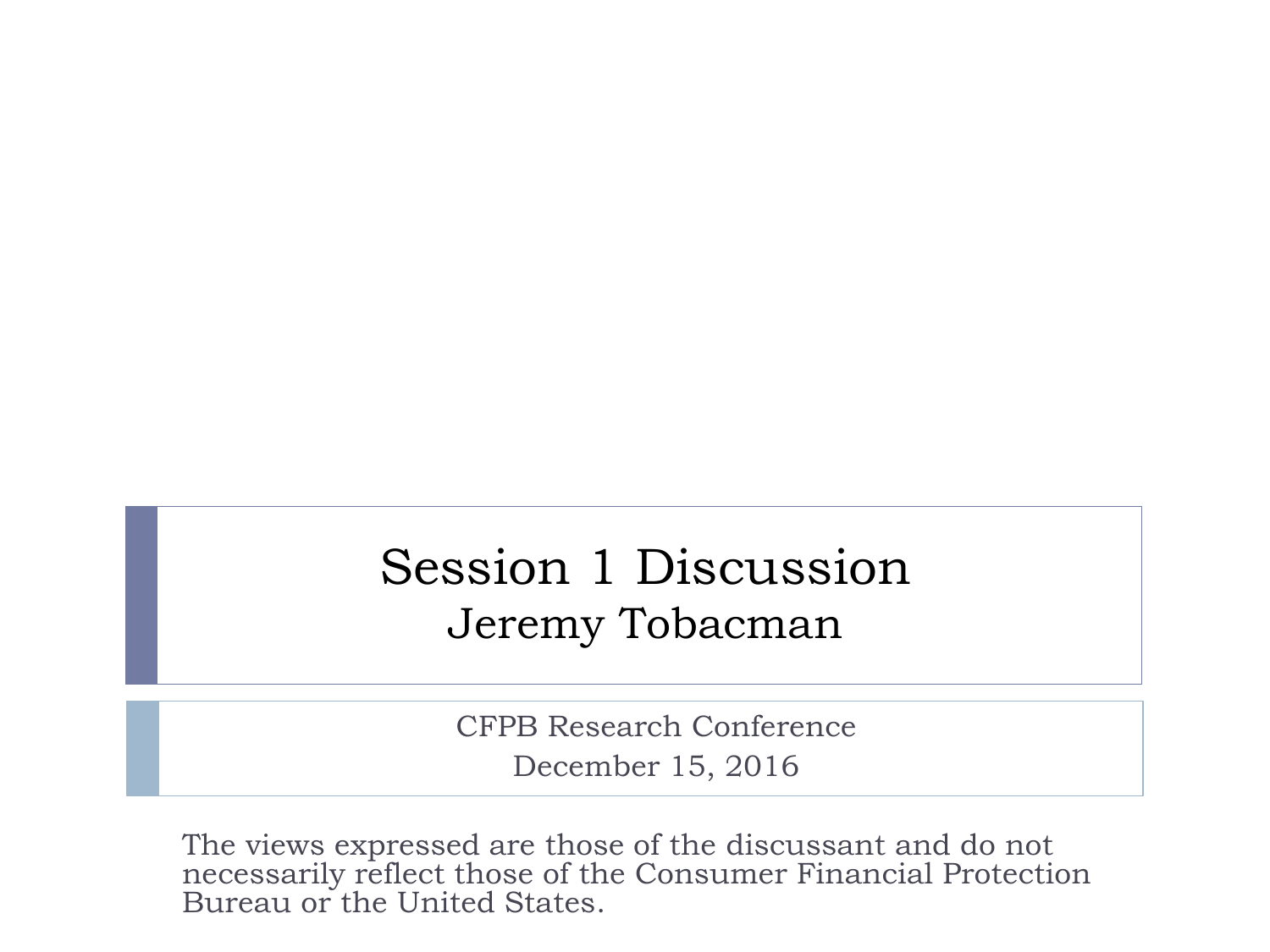#### Session 1 Discussion Jeremy Tobacman

CFPB Research Conference December 15, 2016

The views expressed are those of the discussant and do not necessarily reflect those of the Consumer Financial Protection Bureau or the United States.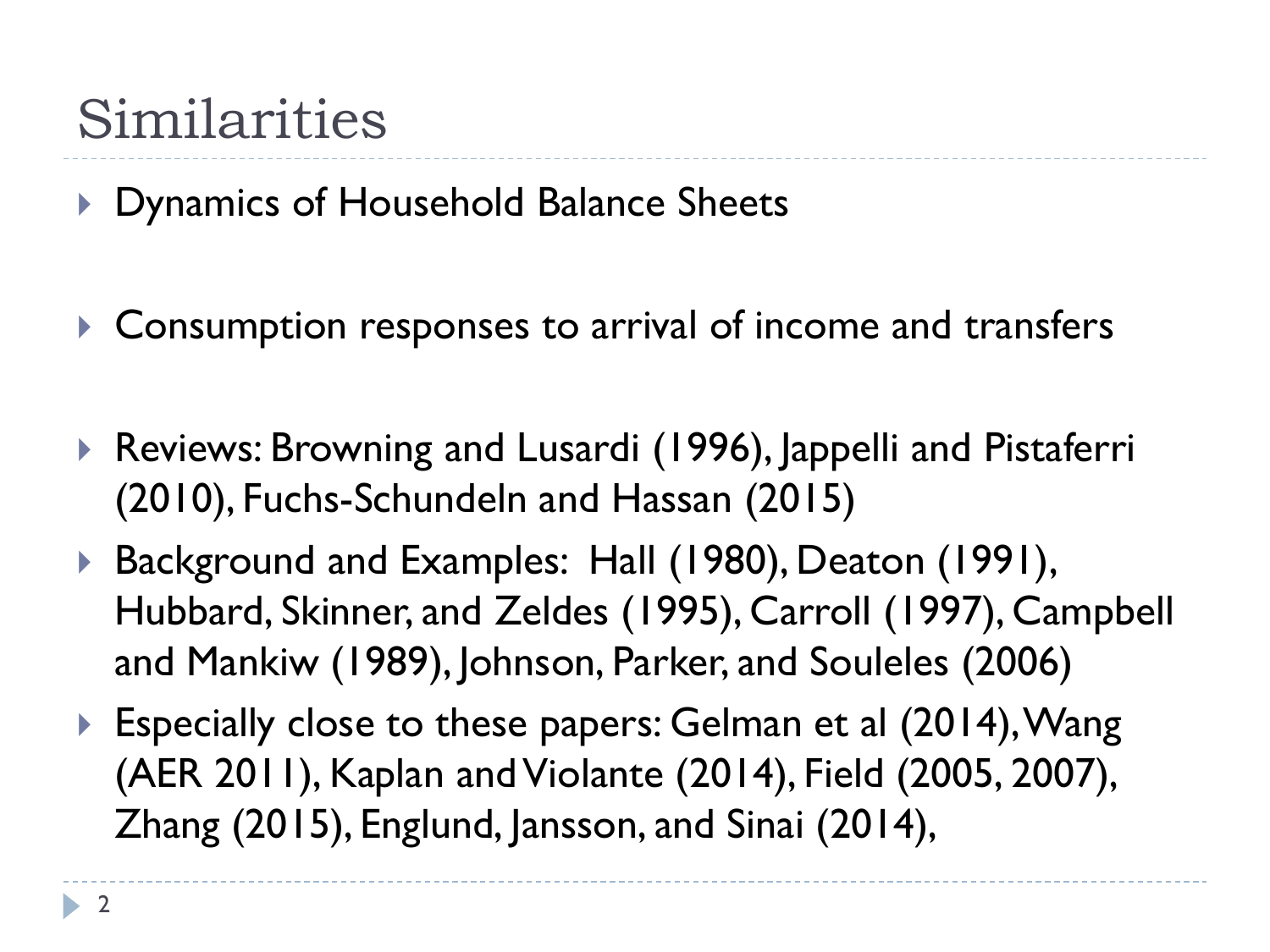## Similarities

▶ Dynamics of Household Balance Sheets

- ▶ Consumption responses to arrival of income and transfers
- Reviews: Browning and Lusardi (1996), Jappelli and Pistaferri (2010), Fuchs-Schundeln and Hassan (2015)
- ▶ Background and Examples: Hall (1980), Deaton (1991), Hubbard, Skinner, and Zeldes (1995), Carroll (1997), Campbell and Mankiw (1989), Johnson, Parker, and Souleles (2006)
- ▶ Especially close to these papers: Gelman et al (2014), Wang (AER 2011), Kaplan and Violante (2014), Field (2005, 2007), Zhang (2015), Englund, Jansson, and Sinai (2014),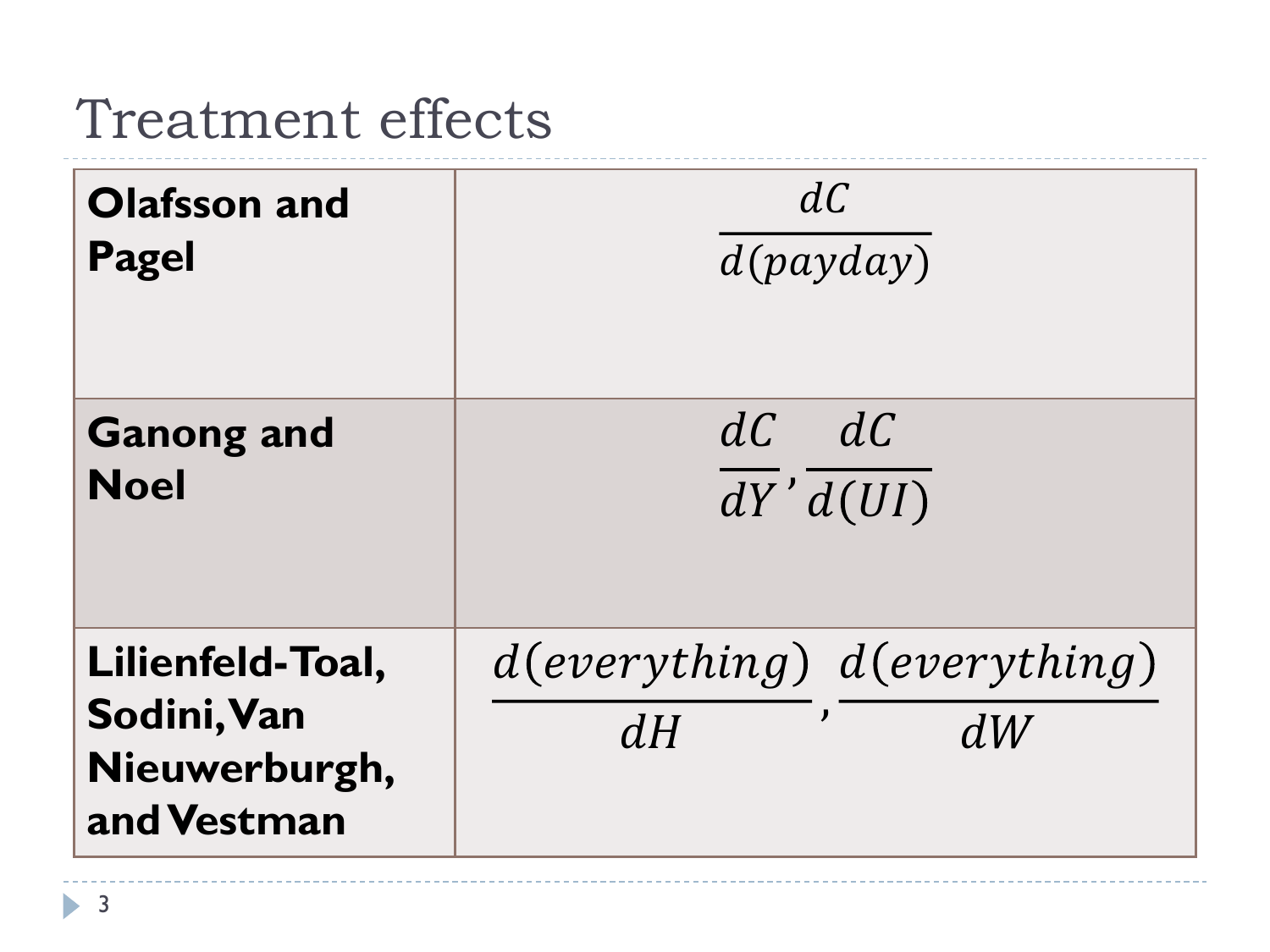## Treatment effects

| <b>Olafsson and</b>                                             | dC                                          |
|-----------------------------------------------------------------|---------------------------------------------|
| <b>Pagel</b>                                                    | d(payday)                                   |
| <b>Ganong and</b>                                               | $dC$ $dC$                                   |
| <b>Noel</b>                                                     | dY' d(UI)                                   |
| Lilienfeld-Toal,<br>Sodini, Van<br>Nieuwerburgh,<br>and Vestman | $d(everything)$ $d(everything)$<br>dW<br>dH |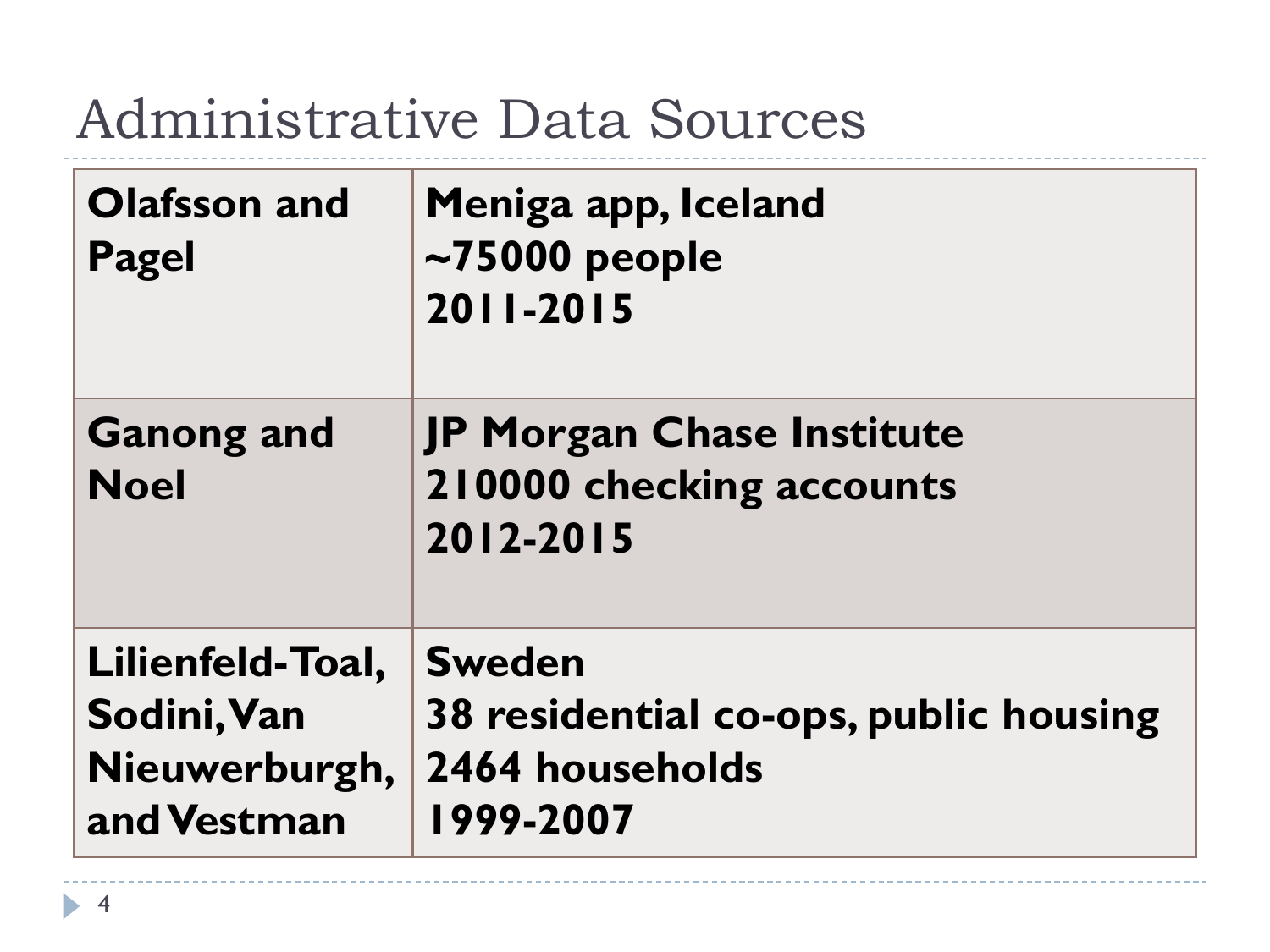## Administrative Data Sources

| <b>Olafsson and</b><br><b>Pagel</b>                             | Meniga app, Iceland<br>$\sim$ 75000 people<br>2011-2015                                |
|-----------------------------------------------------------------|----------------------------------------------------------------------------------------|
| <b>Ganong and</b><br><b>Noel</b>                                | <b>JP Morgan Chase Institute</b><br>210000 checking accounts<br>2012-2015              |
| Lilienfeld-Toal,<br>Sodini, Van<br>Nieuwerburgh,<br>and Vestman | <b>Sweden</b><br>38 residential co-ops, public housing<br>2464 households<br>1999-2007 |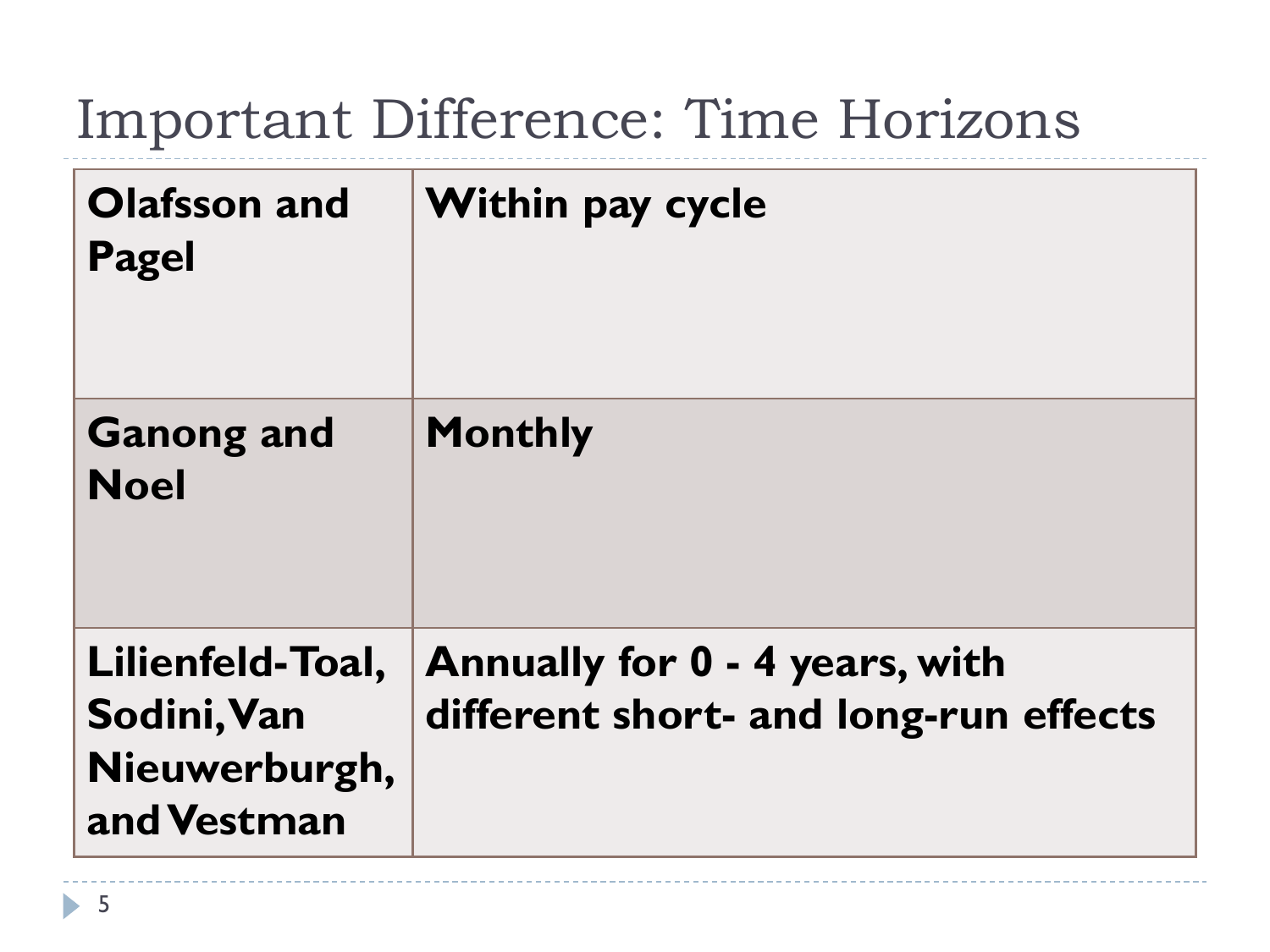## Important Difference: Time Horizons

| <b>Olafsson and</b><br><b>Pagel</b>                             | <b>Within pay cycle</b>                                                 |
|-----------------------------------------------------------------|-------------------------------------------------------------------------|
| <b>Ganong and</b><br><b>Noel</b>                                | <b>Monthly</b>                                                          |
| Lilienfeld-Toal,<br>Sodini, Van<br>Nieuwerburgh,<br>and Vestman | Annually for 0 - 4 years, with<br>different short- and long-run effects |

ь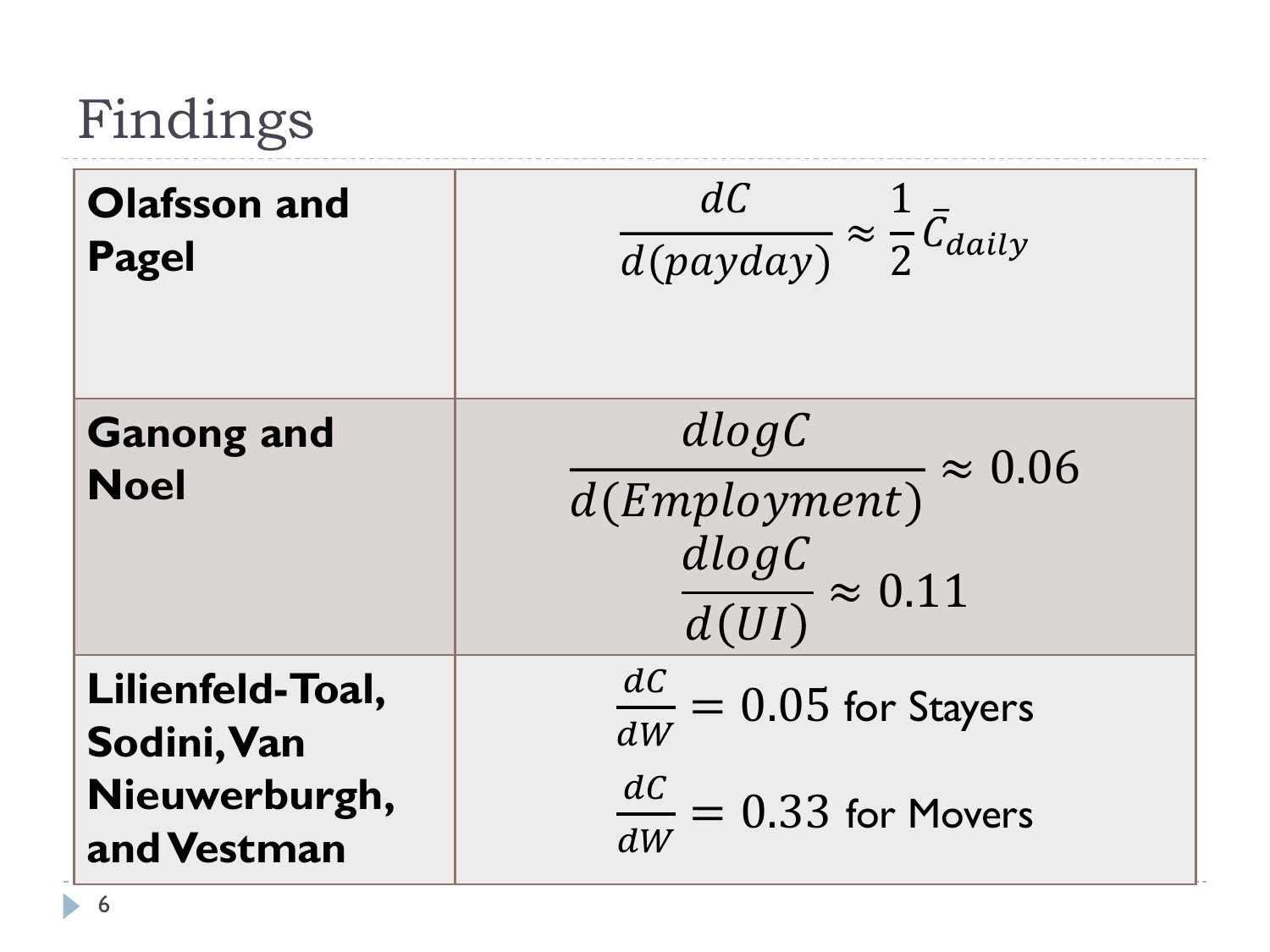# Findings

| <b>Olafsson and</b><br><b>Pagel</b>                             | $\frac{dC}{d(payday)} \approx \frac{1}{2} \bar{C}_{daily}$                       |
|-----------------------------------------------------------------|----------------------------------------------------------------------------------|
| <b>Ganong and</b><br><b>Noel</b>                                | $\frac{dlogC}{d(Employment)} \approx 0.06$<br>$\frac{dlogC}{d(UI)} \approx 0.11$ |
| Lilienfeld-Toal,<br>Sodini, Van<br>Nieuwerburgh,<br>and Vestman | $\frac{dC}{dW} = 0.05$ for Stayers<br>$\frac{dC}{dW} = 0.33$ for Movers          |

 $\blacktriangleright$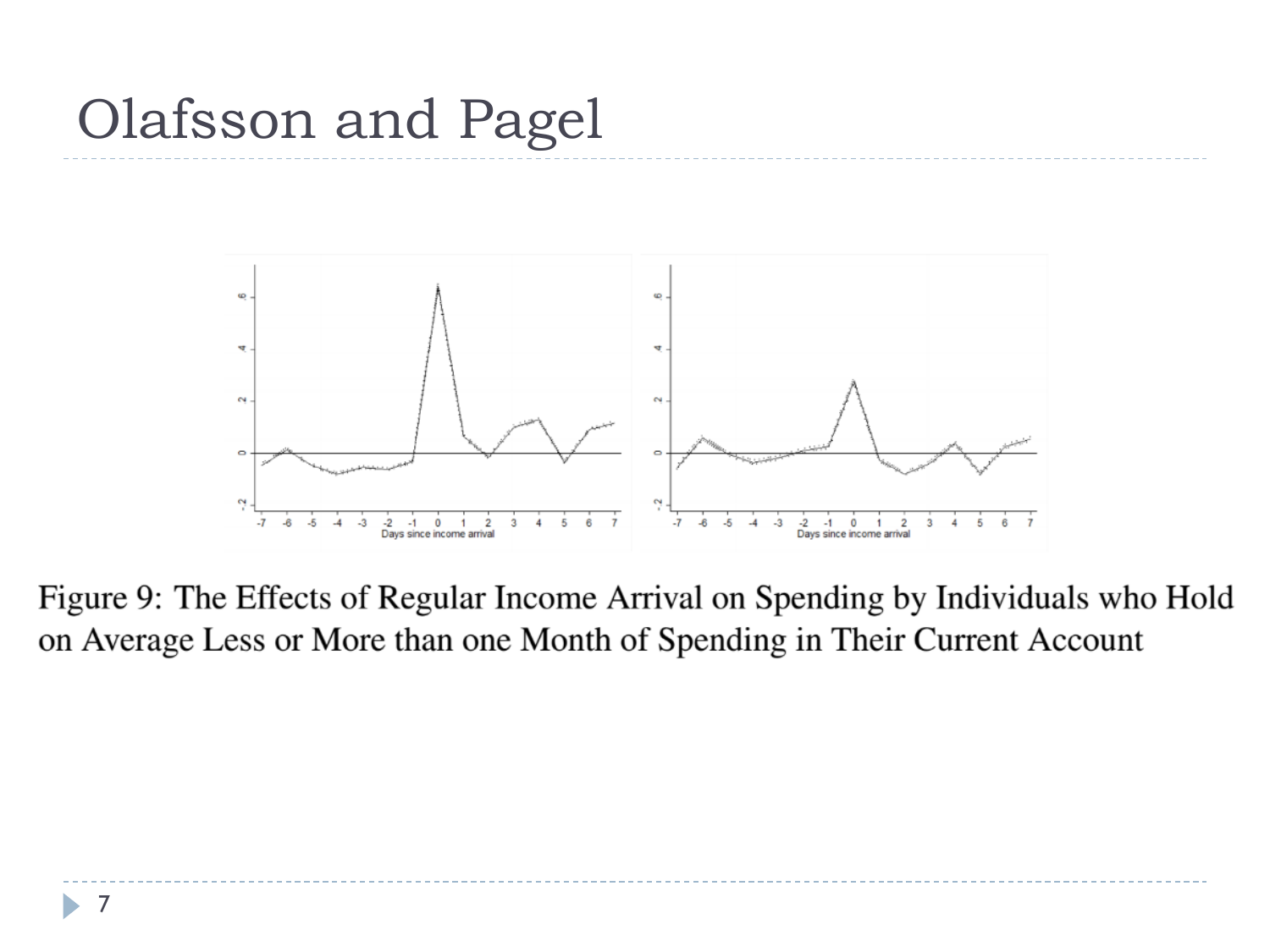## Olafsson and Pagel



Figure 9: The Effects of Regular Income Arrival on Spending by Individuals who Hold on Average Less or More than one Month of Spending in Their Current Account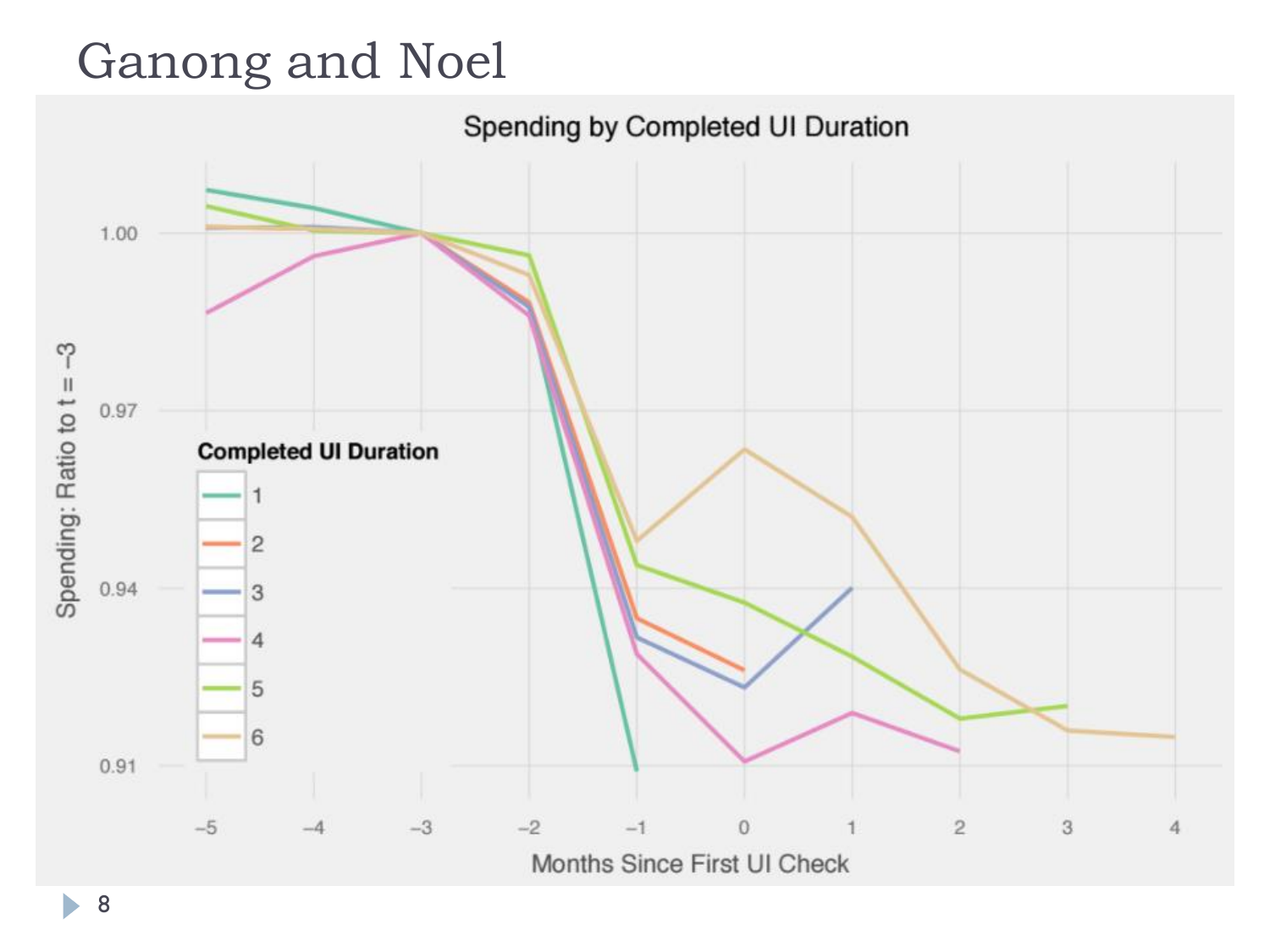### Ganong and Noel



8

ь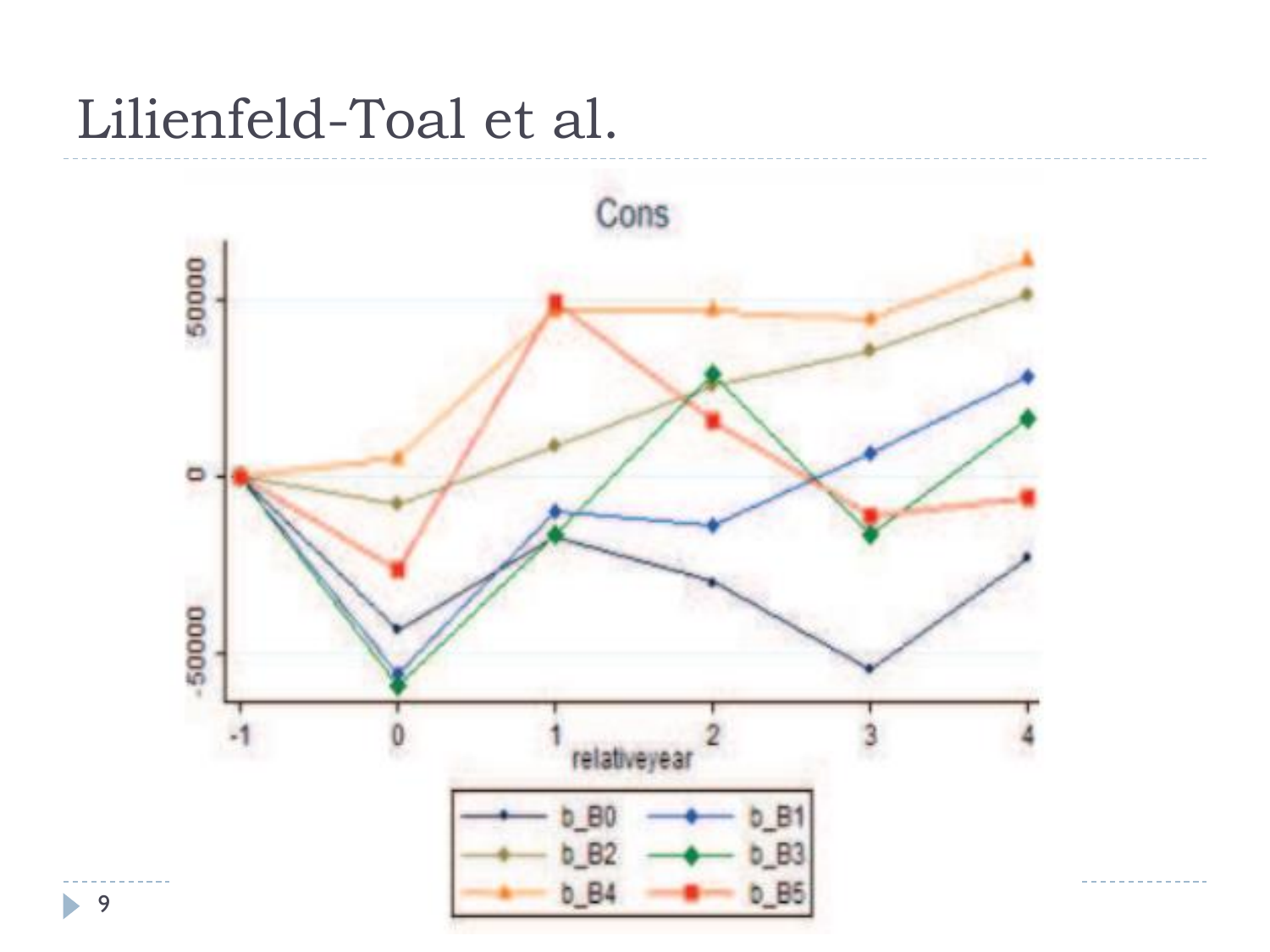### Lilienfeld-Toal et al.



9

b.